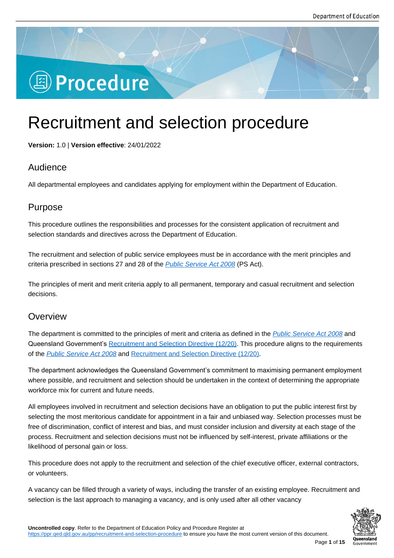# **图 Procedure**

# Recruitment and selection procedure

**Version:** 1.0 | **Version effective**: 24/01/2022

# Audience

All departmental employees and candidates applying for employment within the Department of Education.

# Purpose

This procedure outlines the responsibilities and processes for the consistent application of recruitment and selection standards and directives across the Department of Education.

The recruitment and selection of public service employees must be in accordance with the merit principles and criteria prescribed in sections 27 and 28 of the *Public Service Act 2008* (PS Act).

The principles of merit and merit criteria apply to all permanent, temporary and casual recruitment and selection decisions.

# **Overview**

The department is committed to the principles of merit and criteria as defined in the *Public Service Act 2008* and Queensland Government's Recruitment and Selection Directive (12/20). This procedure aligns to the requirements of the *Public Service Act 2008* and Recruitment and Selection Directive (12/20).

The department acknowledges the Queensland Government's commitment to maxi[mising permanent emplo](https://www.legislation.qld.gov.au/view/html/inforce/current/act-2008-038#ch.1-pt.4)yment where possible, and recruit[ment and selection should be undertaken in the cont](https://www.forgov.qld.gov.au/documents/directive/1220/recruitment-and-selection)ext of determining the appropriate workf[orce mix for current and f](https://www.legislation.qld.gov.au/view/html/inforce/current/act-2008-038#ch.1-pt.4)uture needs.

All employees involved in recruitment and selection decisions have an obligation to put the public interest first by selecting the most meritorious candidate for appointment in a fair and unbiased way. Selection processes must be free of discrimination, conflict of interest and bias, and must consider inclusion and diversity at each stage of the process. Recruitment and selection decisions must not be influenced by self-interest, private affiliations or the likelihood of personal gain or loss.

This procedure does not apply to the recruitment and selection of the chief executive officer, external contractors, or volunteers.

A vacancy can be filled through a variety of ways, including the transfer of an existing employee. Recruitment and selection is the last approach to managing a vacancy, and is only used after all other vacancy

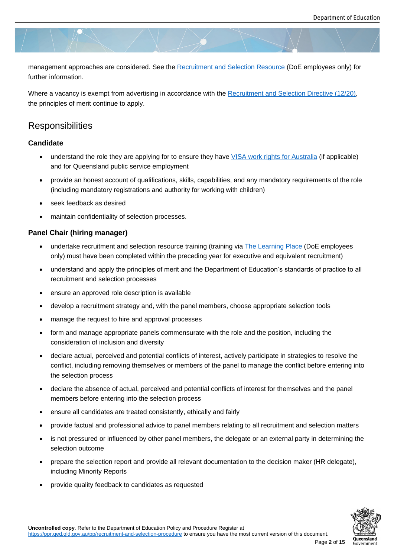management approaches are considered. See the Recruitment and Selection Resource (DoE employees only) for further information.

Where a vacancy is exempt from advertising in ac[cordance with the Recruitment and Se](https://staff.learningplace.eq.edu.au/learning/Lists/CourseCatalogue/ViewCourse.aspx?List=8fc26d05-82c1-4d5e-9ac9-7585c03ab2bf&ID=184)lection Directive (12/20), the principles of merit continue to apply.

# **Responsibilities**

#### **Candidate**

- understand the role they are applying for to ensure they have VISA work rights for Australia (if applicable) and for Queensland public service employment
- provide an honest account of qualifications, skills, capabilities, and any mandatory requirements of the role (including mandatory registrations and authority for working w[ith children\)](https://immi.homeaffairs.gov.au/visas/getting-a-visa/visa-finder/work)
- seek feedback as desired
- maintain confidentiality of selection processes.

#### **Panel Chair (hiring manager)**

- undertake recruitment and selection resource training (training via The Learning Place (DoE employees only) must have been completed within the preceding year for executive and equivalent recruitment)
- understand and apply the principles of merit and the Department of Education's standards of practice to all recruitment and selection processes
- ensure an approved role description is available
- develop a recruitment strategy and, with the panel members, choose appropriate selection tools
- manage the request to hire and approval processes
- form and manage appropriate panels commensurate with the role and the position, including the consideration of inclusion and diversity
- declare actual, perceived and potential conflicts of interest, actively participate in strategies to resolve the conflict, including removing themselves or members of the panel to manage the conflict before entering into the selection process
- declare the absence of actual, perceived and potential conflicts of interest for themselves and the panel members before entering into the selection process
- ensure all candidates are treated consistently, ethically and fairly
- provide factual and professional advice to panel members relating to all recruitment and selection matters
- is not pressured or influenced by other panel members, the delegate or an external party in determining the selection outcome
- prepare the selection report and provide all relevant documentation to the decision maker (HR delegate), including Minority Reports
- provide quality feedback to candidates as requested

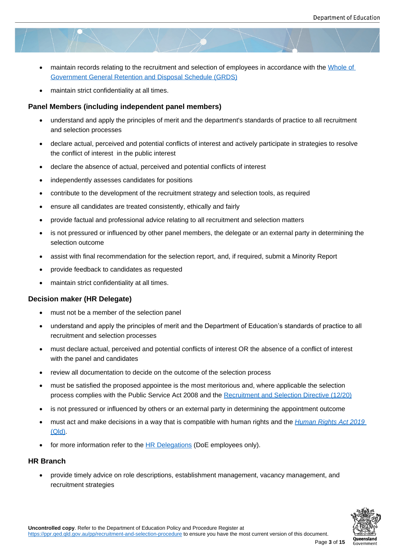- maintain records relating to the recruitment and selection of employees in accordance with the Whole of Government General Retention and Disposal Schedule (GRDS)
- maintain strict confidentiality at all times.

#### **Panel [Members \(including independent panel members\)](https://www.forgov.qld.gov.au/information-and-communication-technology/recordkeeping-and-information-management/recordkeeping/retention-disposal-and-destruction-of-records/search-for-a-retention-and-disposal-schedule/general-retention-and-disposal-schedule-grds)**

- understand and apply the principles of merit and the department's standards of practice to all recruitment and selection processes
- declare actual, perceived and potential conflicts of interest and actively participate in strategies to resolve the conflict of interest in the public interest
- declare the absence of actual, perceived and potential conflicts of interest
- independently assesses candidates for positions
- contribute to the development of the recruitment strategy and selection tools, as required
- ensure all candidates are treated consistently, ethically and fairly
- provide factual and professional advice relating to all recruitment and selection matters
- is not pressured or influenced by other panel members, the delegate or an external party in determining the selection outcome
- assist with final recommendation for the selection report, and, if required, submit a Minority Report
- provide feedback to candidates as requested
- maintain strict confidentiality at all times.

#### **Decision maker (HR Delegate)**

- must not be a member of the selection panel
- understand and apply the principles of merit and the Department of Education's standards of practice to all recruitment and selection processes
- must declare actual, perceived and potential conflicts of interest OR the absence of a conflict of interest with the panel and candidates
- review all documentation to decide on the outcome of the selection process
- must be satisfied the proposed appointee is the most meritorious and, where applicable the selection process complies with the Public Service Act 2008 and the Recruitment and Selection Directive (12/20)
- is not pressured or influenced by others or an external party in determining the appointment outcome
- must act and make decisions in a way that is compatible wi[th human rights and the](https://www.forgov.qld.gov.au/documents/directive/1220/recruitment-and-selection) *Human Rights Act 2019* (Qld).
- $\bullet$  for more information refer to the  $HR$  Delegations (DoE employees only).

#### **HR Br[anch](https://www.legislation.qld.gov.au/view/whole/html/asmade/act-2019-005)**

 provide timely advice on role de[scriptions, establ](https://intranet.qed.qld.gov.au/Services/HumanResources/payrollhr/personaldetailspay/Pages/mydelegations.aspx)ishment management, vacancy management, and recruitment strategies

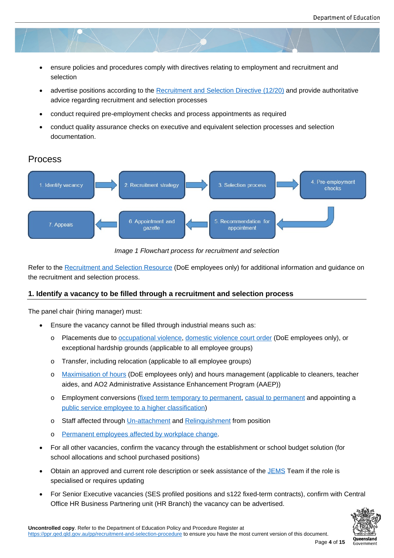- ensure policies and procedures comply with directives relating to employment and recruitment and selection
- advertise positions according to the Recruitment and Selection Directive (12/20) and provide authoritative advice regarding recruitment and selection processes
- conduct required pre-employment checks and process appointments as required
- conduct quality assurance checks o[n executive and equivalent selection process](https://www.forgov.qld.gov.au/documents/directive/1220/recruitment-and-selection)es and selection documentation.

#### Process



*Image 1 Flowchart process for recruitment and selection*

Refer to the Recruitment and Selection Resource (DoE employees only) for additional information and guidance on the recruitment and selection process.

#### **1. Identify [a vacancy to be filled through a](https://staff.learningplace.eq.edu.au/learning/Lists/CourseCatalogue/ViewCourse.aspx?List=8fc26d05-82c1-4d5e-9ac9-7585c03ab2bf&ID=184) recruitment and selection process**

The panel chair (hiring manager) must:

- Ensure the vacancy cannot be filled through industrial means such as:
	- o Placements due to occupational violence, domestic violence court order (DoE employees only), or exceptional hardship grounds (applicable to all employee groups)
	- o Transfer, including relocation (applicable to all employee groups)
	- o Maximisation of ho[urs \(DoE employees o](https://ppr.qed.qld.gov.au/attachment/occupational-violence-prevention-procedure.pdf)[nly\) and hours management \(a](https://intranet.qed.qld.gov.au/about/PrioritiesandInitiatives/EndingDFV/Pages/EmployeeSupports.aspx)pplicable to cleaners, teacher aides, and AO2 Administrative Assistance Enhancement Program (AAEP))
	- o Employment conversions (fixed term temporary to permanent, casual to permanent and appointing a [public service employe](https://intranet.qed.qld.gov.au/Services/HumanResources/payrollhr/awardspayscales/enterprisebargaining)e to a higher classification)
	- o Staff affected through Un-attachment and Relinquishment from position
	- o [Permanent employees aff](https://www.forgov.qld.gov.au/documents/directive/1320/appointing-public-service-employee-higher-classification-level)[ected by workplace change.](https://www.forgov.qld.gov.au/working-in-the-public-service/directives-awards-and-legislation/search-for-directives-policies-circulars-and-guidelines/fixed-term-temporary-employment-directive-0920)
- For all other vacancies, confirm the vacancy through the establishment or school budget solution (for school allocations and sc[hool purchased](https://ppr.qed.qld.gov.au/attachment/unattach-from-position-procedure.pdf) posit[ions\)](https://ppr.qed.qld.gov.au/pp/relinquish-from-position-procedure#search=relinquish%20from%20position)
- Obt[ain an approved and current role description or seek a](https://www.forgov.qld.gov.au/documents/directive/1820/supporting-employees-affected-workplace-change)ssistance of the JEMS Team if the role is specialised or requires updating
- For Senior Executive vacancies (SES profiled positions and s122 fixed-term contracts), confirm with Central Office HR Business Partnering unit (HR Branch) the vacancy can be adve[rtised.](mailto:RoleDescriptions.HUMANRES@qed.qld.gov.au)

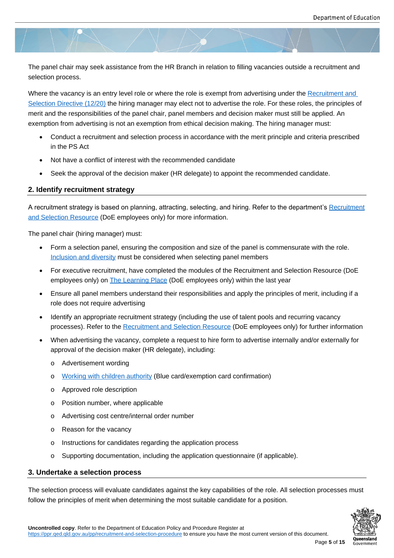The panel chair may seek assistance from the HR Branch in relation to filling vacancies outside a recruitment and selection process.

Where the vacancy is an entry level role or where the role is exempt from advertising under the Recruitment and Selection Directive (12/20) the hiring manager may elect not to advertise the role. For these roles, the principles of merit and the responsibilities of the panel chair, panel members and decision maker must still be applied. An exemption from advertising is not an exemption from ethical decision making. The hiring manag[er must:](https://www.forgov.qld.gov.au/working-in-the-public-service/directives-awards-and-legislation/search-for-directives-policies-circulars-and-guidelines/recruitment-and-selection-directive-1220)

- [Conduct a recruitm](https://www.forgov.qld.gov.au/working-in-the-public-service/directives-awards-and-legislation/search-for-directives-policies-circulars-and-guidelines/recruitment-and-selection-directive-1220)ent and selection process in accordance with the merit principle and criteria prescribed in the PS Act
- Not have a conflict of interest with the recommended candidate
- Seek the approval of the decision maker (HR delegate) to appoint the recommended candidate.

#### **2. Identify recruitment strategy**

A recruitment strategy is based on planning, attracting, selecting, and hiring. Refer to the department's Recruitment and Selection Resource (DoE employees only) for more information.

The panel chair (hiring manager) must:

- [Form a selection](https://staff.learningplace.eq.edu.au/learning/Lists/CourseCatalogue/ViewCourse.aspx?List=8fc26d05-82c1-4d5e-9ac9-7585c03ab2bf&ID=184) panel, ensuring the composition and size of the panel is commensurate with the role. Inclusion and diversity must be considered when selecting panel members
- For executive recruitment, have completed the modules of the Recruitment and Selection Resource (DoE employees only) on **The Learning Place** (DoE employees only) within the last year
- [Ensure all panel memb](https://qed.qld.gov.au/working-with-us/induction/department/human-resources/inclusion-and-diversity)ers understand their responsibilities and apply the principles of merit, including if a role does not require advertising
- Identify an appropri[ate recruitment strate](https://staff.learningplace.eq.edu.au/learning/Lists/CourseCatalogue/ViewCourse.aspx?List=8fc26d05-82c1-4d5e-9ac9-7585c03ab2bf&ID=184)gy (including the use of talent pools and recurring vacancy processes). Refer to the Recruitment and Selection Resource (DoE employees only) for further information
- When advertising the vacancy, complete a request to hire form to advertise internally and/or externally for approval of the decision maker (HR delegate), including:
	- o Advertisement wordi[ng](https://staff.learningplace.eq.edu.au/learning/Lists/CourseCatalogue/ViewCourse.aspx?List=8fc26d05-82c1-4d5e-9ac9-7585c03ab2bf&ID=184)
	- o Working with children authority (Blue card/exemption card confirmation)
	- o Approved role description
	- o [Position number, where applica](https://ppr.qed.qld.gov.au/pp/working-with-children-authority-procedure)ble
	- o Advertising cost centre/internal order number
	- o Reason for the vacancy
	- o Instructions for candidates regarding the application process
	- o Supporting documentation, including the application questionnaire (if applicable).

#### **3. Undertake a selection process**

The selection process will evaluate candidates against the key capabilities of the role. All selection processes must follow the principles of merit when determining the most suitable candidate for a position.

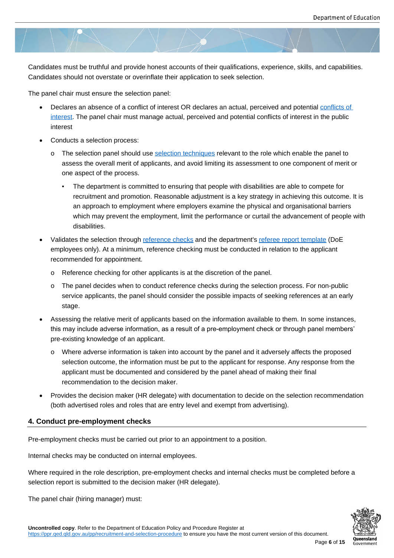Candidates must be truthful and provide honest accounts of their qualifications, experience, skills, and capabilities. Candidates should not overstate or overinflate their application to seek selection.

The panel chair must ensure the selection panel:

- Declares an absence of a conflict of interest OR declares an actual, perceived and potential conflicts of interest. The panel chair must manage actual, perceived and potential conflicts of interest in the public interest
- Conducts a selection process:
	- o [The](https://ppr.qed.qld.gov.au/pp/conflict-of-interest-procedure) selection panel should use selection techniques relevant to the role which enable the panel to assess the overall merit of applicants, and avoid limiting its assessment to one component of merit or one aspect of the process.
		- The department is committ[ed to ensuring that pe](https://www.forgov.qld.gov.au/design-selection-process)ople with disabilities are able to compete for recruitment and promotion. Reasonable adjustment is a key strategy in achieving this outcome. It is an approach to employment where employers examine the physical and organisational barriers which may prevent the employment, limit the performance or curtail the advancement of people with disabilities.
- Validates the selection through reference checks and the department's referee report template (DoE employees only). At a minimum, reference checking must be conducted in relation to the applicant recommended for appointment.
	- o Reference checking for oth[er applicants is at](https://www.forgov.qld.gov.au/complete-referee-check) the discretion of the p[anel.](https://intranet.qed.qld.gov.au/Services/HumanResources/payrollhr/careers/corporateschoolsupportstaffrecruitmentselection/Pages/toolstemplatescorporateschoolstaffrecruitment.aspx)
	- o The panel decides when to conduct reference checks during the selection process. For non-public service applicants, the panel should consider the possible impacts of seeking references at an early stage.
- Assessing the relative merit of applicants based on the information available to them. In some instances, this may include adverse information, as a result of a pre-employment check or through panel members' pre-existing knowledge of an applicant.
	- o Where adverse information is taken into account by the panel and it adversely affects the proposed selection outcome, the information must be put to the applicant for response. Any response from the applicant must be documented and considered by the panel ahead of making their final recommendation to the decision maker.
- Provides the decision maker (HR delegate) with documentation to decide on the selection recommendation (both advertised roles and roles that are entry level and exempt from advertising).

#### **4. Conduct pre-employment checks**

Pre-employment checks must be carried out prior to an appointment to a position.

Internal checks may be conducted on internal employees.

Where required in the role description, pre-employment checks and internal checks must be completed before a selection report is submitted to the decision maker (HR delegate).

The panel chair (hiring manager) must:

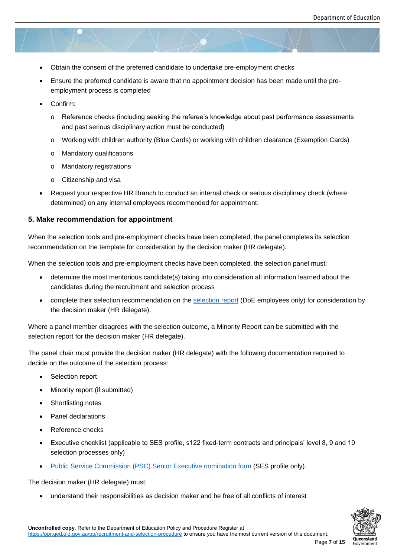- Obtain the consent of the preferred candidate to undertake pre-employment checks
- Ensure the preferred candidate is aware that no appointment decision has been made until the preemployment process is completed
- Confirm:
	- o Reference checks (including seeking the referee's knowledge about past performance assessments and past serious disciplinary action must be conducted)
	- o Working with children authority (Blue Cards) or working with children clearance (Exemption Cards)
	- o Mandatory qualifications
	- o Mandatory registrations
	- o Citizenship and visa
- Request your respective HR Branch to conduct an internal check or serious disciplinary check (where determined) on any internal employees recommended for appointment.

#### **5. Make recommendation for appointment**

When the selection tools and pre-employment checks have been completed, the panel completes its selection recommendation on the template for consideration by the decision maker (HR delegate).

When the selection tools and pre-employment checks have been completed, the selection panel must:

- determine the most meritorious candidate(s) taking into consideration all information learned about the candidates during the recruitment and selection process
- complete their selection recommendation on the selection report (DoE employees only) for consideration by the decision maker (HR delegate).

Where a panel member disagrees with the selection out[come, a Minority](https://intranet.qed.qld.gov.au/Services/HumanResources/payrollhr/careers/corporateschoolsupportstaffrecruitmentselection/Pages/toolstemplatescorporateschoolstaffrecruitment.aspx) Report can be submitted with the selection report for the decision maker (HR delegate).

The panel chair must provide the decision maker (HR delegate) with the following documentation required to decide on the outcome of the selection process:

- Selection report
- Minority report (if submitted)
- Shortlisting notes
- Panel declarations
- Reference checks
- Executive checklist (applicable to SES profile, s122 fixed-term contracts and principals' level 8, 9 and 10 selection processes only)
- Public Service Commission (PSC) Senior Executive nomination form (SES profile only).

The decision maker (HR delegate) must:

[understand their responsibilities as decision maker and be free of all](https://www.forgov.qld.gov.au/appoint-senior-executive) conflicts of interest

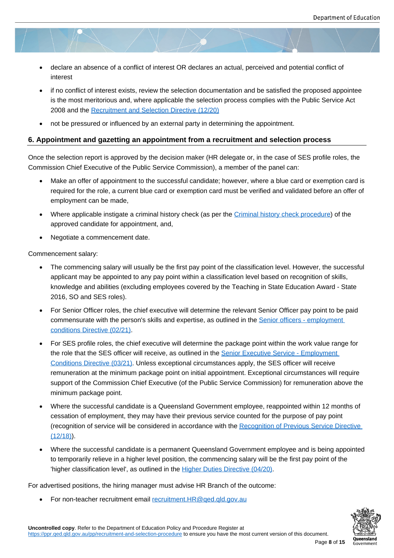- declare an absence of a conflict of interest OR declares an actual, perceived and potential conflict of interest
- if no conflict of interest exists, review the selection documentation and be satisfied the proposed appointee is the most meritorious and, where applicable the selection process complies with the Public Service Act 2008 and the Recruitment and Selection Directive (12/20)
- not be pressured or influenced by an external party in determining the appointment.

#### **6. Appointment a[nd gazetting an appointment from a re](https://www.forgov.qld.gov.au/working-in-the-public-service/directives-awards-and-legislation/search-for-directives-policies-circulars-and-guidelines/recruitment-and-selection-directive-1220)cruitment and selection process**

Once the selection report is approved by the decision maker (HR delegate or, in the case of SES profile roles, the Commission Chief Executive of the Public Service Commission), a member of the panel can:

- Make an offer of appointment to the successful candidate; however, where a blue card or exemption card is required for the role, a current blue card or exemption card must be verified and validated before an offer of employment can be made,
- Where applicable instigate a criminal history check (as per the Criminal history check procedure) of the approved candidate for appointment, and,
- Negotiate a commencement date.

Commencement salary:

- The commencing salary will usually be the first pay point of the classification level. However, the successful applicant may be appointed to any pay point within a classification level based on recognition of skills, knowledge and abilities (excluding employees covered by the Teaching in State Education Award - State 2016, SO and SES roles).
- For Senior Officer roles, the chief executive will determine the relevant Senior Officer pay point to be paid commensurate with the person's skills and expertise, as outlined in the Senior officers - employment conditions Directive (02/21).
- For SES profile roles, the chief executive will determine the package point within the work value range for the role that the SES officer will receive, as outlined in the **Senior Executive Service - Employment** [Conditions Directive \(03/21\)](https://www.forgov.qld.gov.au/working-in-the-public-service/directives-awards-and-legislation/search-for-directives-policies-circulars-and-guidelines/senior-officers-employment-conditions-directive-0221). Unless exceptional circumstances apply, the SES officer will receive remuneration at the minimum package point on initial appointment. Exceptional circumstances will require support of the Commission Chief Executive (of the Public [Service Commission\) for remuneration ab](https://www.forgov.qld.gov.au/working-in-the-public-service/directives-awards-and-legislation/search-for-directives-policies-circulars-and-guidelines/senior-executive-service-employment-conditions-directive-0321)ove the [minimum package point.](https://www.forgov.qld.gov.au/working-in-the-public-service/directives-awards-and-legislation/search-for-directives-policies-circulars-and-guidelines/senior-executive-service-employment-conditions-directive-0321)
- Where the successful candidate is a Queensland Government employee, reappointed within 12 months of cessation of employment, they may have their previous service counted for the purpose of pay point (recognition of service will be considered in accordance with the Recognition of Previous Service Directive  $(12/18)$ .
- Where the successful candidate is a permanent Queensland Government employee and is being appointed to temporarily relieve in a higher level position, the commencing [salary will be the first pay point of the](https://www.forgov.qld.gov.au/working-in-the-public-service/directives-awards-and-legislation/search-for-directives-policies-circulars-and-guidelines/recognition-of-previous-service-directive-1218)  ['higher](https://www.forgov.qld.gov.au/working-in-the-public-service/directives-awards-and-legislation/search-for-directives-policies-circulars-and-guidelines/recognition-of-previous-service-directive-1218) classification level', as outlined in the Higher Duties Directive (04/20).

For advertised positions, the hiring manager must advise HR Branch of the outcome:

For non-teacher recruitment email recruitme[nt.HR@qed.qld.gov.au](https://www.forgov.qld.gov.au/documents/directive/higher-duties-directive-0420)

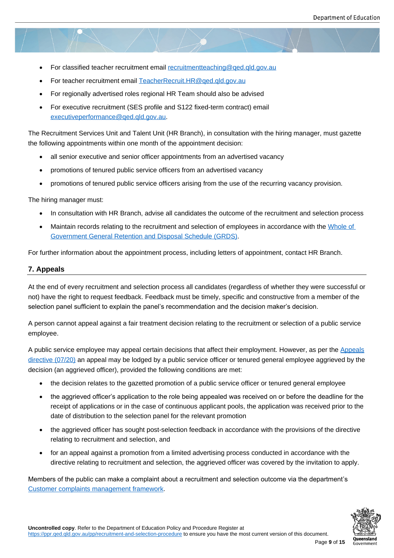- For classified teacher recruitment email recruitmentteaching@ged.gld.gov.au
- For teacher recruitment email TeacherRecruit.HR@qed.qld.gov.au
- For regionally advertised roles regional [HR Team should also be advised](mailto:recruitmentteaching@qed.qld.gov.au)
- For executive recruitment (SES profile and S122 fixed-term contract) email executiveperformance@qed.[qld.gov.au.](mailto:TeacherRecruit.HR@qed.qld.gov.au)

The Recruitment Services Unit and Talent Unit (HR Branch), in consultation with the hiring manager, must gazette the foll[owing appointments within one month of](mailto:executiveperformance@qed.qld.gov.au) the appointment decision:

- all senior executive and senior officer appointments from an advertised vacancy
- promotions of tenured public service officers from an advertised vacancy
- promotions of tenured public service officers arising from the use of the recurring vacancy provision.

The hiring manager must:

- In consultation with HR Branch, advise all candidates the outcome of the recruitment and selection process
- Maintain records relating to the recruitment and selection of employees in accordance with the Whole of Government General Retention and Disposal Schedule (GRDS).

For further information about the appointment process, including letters of appointment, contact HR Br[anch.](https://www.forgov.qld.gov.au/information-and-communication-technology/recordkeeping-and-information-management/recordkeeping/retention-disposal-and-destruction-of-records/search-for-a-retention-and-disposal-schedule/general-retention-and-disposal-schedule-grds)

#### **7. App[eals](https://www.forgov.qld.gov.au/information-and-communication-technology/recordkeeping-and-information-management/recordkeeping/retention-disposal-and-destruction-of-records/search-for-a-retention-and-disposal-schedule/general-retention-and-disposal-schedule-grds)**

At the end of every recruitment and selection process all candidates (regardless of whether they were successful or not) have the right to request feedback. Feedback must be timely, specific and constructive from a member of the selection panel sufficient to explain the panel's recommendation and the decision maker's decision.

A person cannot appeal against a fair treatment decision relating to the recruitment or selection of a public service employee.

A public service employee may appeal certain decisions that affect their employment. However, as per the Appeals directive (07/20) an appeal may be lodged by a public service officer or tenured general employee aggrieved by the decision (an aggrieved officer), provided the following conditions are met:

- the decision relates to the gazetted promotion of a public service officer or tenured general employ[ee](https://www.forgov.qld.gov.au/documents/directive/0720/appeals)
- [the aggri](https://www.forgov.qld.gov.au/documents/directive/0720/appeals)eved officer's application to the role being appealed was received on or before the deadline for the receipt of applications or in the case of continuous applicant pools, the application was received prior to the date of distribution to the selection panel for the relevant promotion
- the aggrieved officer has sought post-selection feedback in accordance with the provisions of the directive relating to recruitment and selection, and
- for an appeal against a promotion from a limited advertising process conducted in accordance with the directive relating to recruitment and selection, the aggrieved officer was covered by the invitation to apply.

Members of the public can make a complaint about a recruitment and selection outcome via the department's Customer complaints management framework.

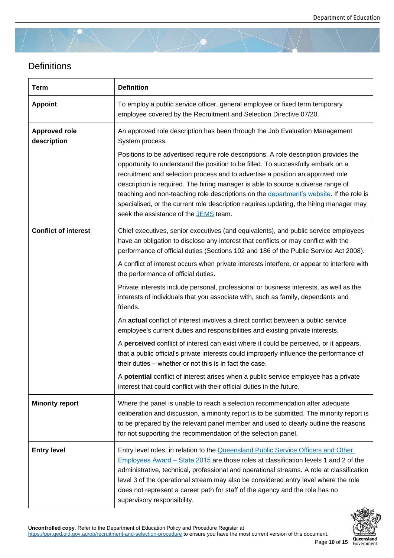# **Definitions**

| <b>Term</b>                         | <b>Definition</b>                                                                                                                                                                                                                                                                                                                                                                                                                                                                                                                                                             |
|-------------------------------------|-------------------------------------------------------------------------------------------------------------------------------------------------------------------------------------------------------------------------------------------------------------------------------------------------------------------------------------------------------------------------------------------------------------------------------------------------------------------------------------------------------------------------------------------------------------------------------|
| <b>Appoint</b>                      | To employ a public service officer, general employee or fixed term temporary<br>employee covered by the Recruitment and Selection Directive 07/20.                                                                                                                                                                                                                                                                                                                                                                                                                            |
| <b>Approved role</b><br>description | An approved role description has been through the Job Evaluation Management<br>System process.                                                                                                                                                                                                                                                                                                                                                                                                                                                                                |
|                                     | Positions to be advertised require role descriptions. A role description provides the<br>opportunity to understand the position to be filled. To successfully embark on a<br>recruitment and selection process and to advertise a position an approved role<br>description is required. The hiring manager is able to source a diverse range of<br>teaching and non-teaching role descriptions on the department's website. If the role is<br>specialised, or the current role description requires updating, the hiring manager may<br>seek the assistance of the JEMS team. |
| <b>Conflict of interest</b>         | Chief executives, senior executives (and equivalents), and public service employees<br>have an obligation to disclose any interest that conflicts or may conflict with the<br>performance of official duties (Sections 102 and 186 of the Public Service Act 2008).                                                                                                                                                                                                                                                                                                           |
|                                     | A conflict of interest occurs when private interests interfere, or appear to interfere with<br>the performance of official duties.                                                                                                                                                                                                                                                                                                                                                                                                                                            |
|                                     | Private interests include personal, professional or business interests, as well as the<br>interests of individuals that you associate with, such as family, dependants and<br>friends.                                                                                                                                                                                                                                                                                                                                                                                        |
|                                     | An actual conflict of interest involves a direct conflict between a public service<br>employee's current duties and responsibilities and existing private interests.                                                                                                                                                                                                                                                                                                                                                                                                          |
|                                     | A perceived conflict of interest can exist where it could be perceived, or it appears,<br>that a public official's private interests could improperly influence the performance of<br>their duties - whether or not this is in fact the case.                                                                                                                                                                                                                                                                                                                                 |
|                                     | A potential conflict of interest arises when a public service employee has a private<br>interest that could conflict with their official duties in the future.                                                                                                                                                                                                                                                                                                                                                                                                                |
| <b>Minority report</b>              | Where the panel is unable to reach a selection recommendation after adequate<br>deliberation and discussion, a minority report is to be submitted. The minority report is<br>to be prepared by the relevant panel member and used to clearly outline the reasons<br>for not supporting the recommendation of the selection panel.                                                                                                                                                                                                                                             |
| <b>Entry level</b>                  | Entry level roles, in relation to the Queensland Public Service Officers and Other<br>Employees Award - State 2015 are those roles at classification levels 1 and 2 of the<br>administrative, technical, professional and operational streams. A role at classification<br>level 3 of the operational stream may also be considered entry level where the role<br>does not represent a career path for staff of the agency and the role has no<br>supervisory responsibility.                                                                                                 |

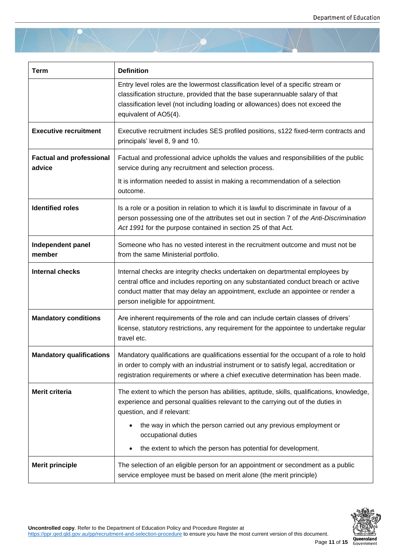| <b>Term</b>                               | <b>Definition</b>                                                                                                                                                                                                                                                                           |
|-------------------------------------------|---------------------------------------------------------------------------------------------------------------------------------------------------------------------------------------------------------------------------------------------------------------------------------------------|
|                                           | Entry level roles are the lowermost classification level of a specific stream or<br>classification structure, provided that the base superannuable salary of that<br>classification level (not including loading or allowances) does not exceed the<br>equivalent of AO5(4).                |
| <b>Executive recruitment</b>              | Executive recruitment includes SES profiled positions, s122 fixed-term contracts and<br>principals' level 8, 9 and 10.                                                                                                                                                                      |
| <b>Factual and professional</b><br>advice | Factual and professional advice upholds the values and responsibilities of the public<br>service during any recruitment and selection process.                                                                                                                                              |
|                                           | It is information needed to assist in making a recommendation of a selection<br>outcome.                                                                                                                                                                                                    |
| <b>Identified roles</b>                   | Is a role or a position in relation to which it is lawful to discriminate in favour of a<br>person possessing one of the attributes set out in section 7 of the Anti-Discrimination<br>Act 1991 for the purpose contained in section 25 of that Act.                                        |
| Independent panel<br>member               | Someone who has no vested interest in the recruitment outcome and must not be<br>from the same Ministerial portfolio.                                                                                                                                                                       |
| <b>Internal checks</b>                    | Internal checks are integrity checks undertaken on departmental employees by<br>central office and includes reporting on any substantiated conduct breach or active<br>conduct matter that may delay an appointment, exclude an appointee or render a<br>person ineligible for appointment. |
| <b>Mandatory conditions</b>               | Are inherent requirements of the role and can include certain classes of drivers'<br>license, statutory restrictions, any requirement for the appointee to undertake regular<br>travel etc.                                                                                                 |
| <b>Mandatory qualifications</b>           | Mandatory qualifications are qualifications essential for the occupant of a role to hold<br>in order to comply with an industrial instrument or to satisfy legal, accreditation or<br>registration requirements or where a chief executive determination has been made.                     |
| Merit criteria                            | The extent to which the person has abilities, aptitude, skills, qualifications, knowledge,<br>experience and personal qualities relevant to the carrying out of the duties in<br>question, and if relevant:                                                                                 |
|                                           | the way in which the person carried out any previous employment or<br>occupational duties<br>the extent to which the person has potential for development.                                                                                                                                  |
| <b>Merit principle</b>                    | The selection of an eligible person for an appointment or secondment as a public<br>service employee must be based on merit alone (the merit principle)                                                                                                                                     |

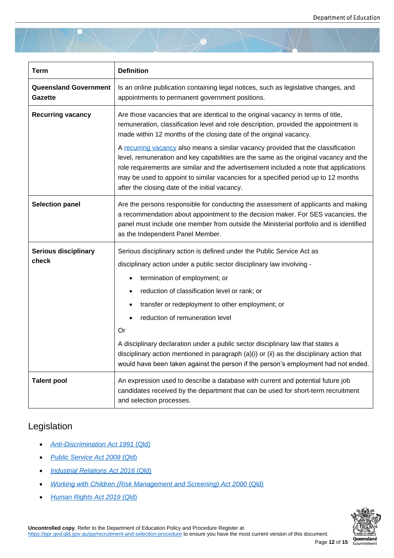| <b>Term</b>                                    | <b>Definition</b>                                                                                                                                                                                                                                                                                                                                                                                                                                                                                                                                                                                                                                              |
|------------------------------------------------|----------------------------------------------------------------------------------------------------------------------------------------------------------------------------------------------------------------------------------------------------------------------------------------------------------------------------------------------------------------------------------------------------------------------------------------------------------------------------------------------------------------------------------------------------------------------------------------------------------------------------------------------------------------|
| <b>Queensland Government</b><br><b>Gazette</b> | Is an online publication containing legal notices, such as legislative changes, and<br>appointments to permanent government positions.                                                                                                                                                                                                                                                                                                                                                                                                                                                                                                                         |
| <b>Recurring vacancy</b>                       | Are those vacancies that are identical to the original vacancy in terms of title,<br>remuneration, classification level and role description, provided the appointment is<br>made within 12 months of the closing date of the original vacancy.<br>A recurring vacancy also means a similar vacancy provided that the classification<br>level, remuneration and key capabilities are the same as the original vacancy and the<br>role requirements are similar and the advertisement included a note that applications<br>may be used to appoint to similar vacancies for a specified period up to 12 months<br>after the closing date of the initial vacancy. |
| <b>Selection panel</b>                         | Are the persons responsible for conducting the assessment of applicants and making<br>a recommendation about appointment to the decision maker. For SES vacancies, the<br>panel must include one member from outside the Ministerial portfolio and is identified<br>as the Independent Panel Member.                                                                                                                                                                                                                                                                                                                                                           |
| <b>Serious disciplinary</b><br>check           | Serious disciplinary action is defined under the Public Service Act as<br>disciplinary action under a public sector disciplinary law involving -<br>termination of employment; or<br>reduction of classification level or rank; or<br>transfer or redeployment to other employment; or<br>reduction of remuneration level<br>Or<br>A disciplinary declaration under a public sector disciplinary law that states a<br>disciplinary action mentioned in paragraph (a)(i) or (ii) as the disciplinary action that<br>would have been taken against the person if the person's employment had not ended.                                                          |
| <b>Talent pool</b>                             | An expression used to describe a database with current and potential future job<br>candidates received by the department that can be used for short-term recruitment<br>and selection processes.                                                                                                                                                                                                                                                                                                                                                                                                                                                               |

# Legislation

- *Anti-Discrimination Act 1991* (Qld)
- *Public Service Act 2008* (Qld)
- *[Industrial Relations Act 2016](https://www.legislation.qld.gov.au/view/pdf/2017-06-05/act-1991-085)* [\(Qld\)](https://www.legislation.qld.gov.au/view/pdf/2017-06-05/act-1991-085)
- *[Working with Children \(Risk M](https://www.legislation.qld.gov.au/view/html/inforce/current/act-2008-038)anagement and Screening) Act 2000* (Qld)
- *[Human Rights Act 2019](https://www.legislation.qld.gov.au/view/html/inforce/current/act-2016-063)* (Qld[\)](https://www.legislation.qld.gov.au/view/html/inforce/current/act-2016-063)

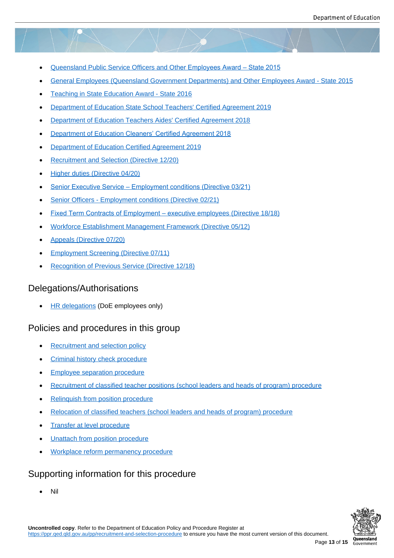- Queensland Public Service Officers and Other Employees Award State 2015
- General Employees (Queensland Government Departments) and Other Employees Award State 2015
- [Teaching in State Education Award State 2](https://www.qirc.qld.gov.au/sites/default/files/qld_public_service_010918.pdf?v=1542530003)016
- [Department of Education State School Teachers](https://www.qirc.qld.gov.au/sites/default/files/general_employees.pdf?v=1542331521)' [Certified Agreement 2019](https://www.qirc.qld.gov.au/sites/default/files/general_employees.pdf?v=1542331521)
- [Department of Education Teachers Aides](https://www.qirc.qld.gov.au/sites/default/files/teaching_state_ed_010918_0.pdf?v=1542521408)' [Certifi](https://www.qirc.qld.gov.au/sites/default/files/teaching_state_ed_010918_0.pdf?v=1542521408)ed Agreement 2018
- [Department of Education](https://www.qirc.qld.gov.au/sites/default/files/2019_cb101.pdf?v=1574397508) Cleaners' Cert[ified Agreement 2018](https://www.qirc.qld.gov.au/sites/default/files/2019_cb101.pdf?v=1574397508)
- [Department of Education Certified Agreement 2019](https://www.qirc.qld.gov.au/sites/default/files/2019_cb36.pdf?v=1560915162)
- [Recruitment and Selection \(Directive 12/20\)](https://www.qirc.qld.gov.au/sites/default/files/2019_cb38.pdf?v=1560756740)
- [Higher duties \(Directive 04/20\)](https://www.qirc.qld.gov.au/sites/default/files/2020_cb46.pdf)
- [Senior Executive Service Employment con](https://www.forgov.qld.gov.au/documents/directive/1220/recruitment-and-selection)ditions (Directive 03/21)
- [Senior Officers Employment c](https://www.forgov.qld.gov.au/working-in-the-public-service/directives-awards-and-legislation/search-for-directives-policies-circulars-and-guidelines/higher-duties-directive-0420)onditions (Directive 02/21)
- [Fixed Term Contracts of Employment exec](https://www.forgov.qld.gov.au/working-in-the-public-service/directives-awards-and-legislation/search-for-directives-policies-circulars-and-guidelines/senior-executive-service-employment-conditions-directive-0321)utive employees (Directive 18/18)
- [Workforce Establishment Management Framework \(Direc](https://www.forgov.qld.gov.au/working-in-the-public-service/directives-awards-and-legislation/search-for-directives-policies-circulars-and-guidelines/senior-officers-employment-conditions-directive-0221)tive 05/12)
- [Appeals \(Directive 07/20\)](https://www.forgov.qld.gov.au/documents/directive/1818/fixed-term-contracts-employment-executive-employees)
- [Employment Screening \(Directive 07/11\)](https://www.forgov.qld.gov.au/documents/directive/0512/workforce-establishment-management-framework)
- [Recognition of Previous S](https://www.forgov.qld.gov.au/working-in-the-public-service/directives-awards-and-legislation/search-for-directives-policies-circulars-and-guidelines/appeals-directive-0720)ervice (Directive 12/18)

# Dele[gations/Authorisations](https://www.forgov.qld.gov.au/documents/directive/0711/employment-screening)

**HR** delegations (DoE employees only)

# Policies and procedures in this group

- [Recruitment and](https://intranet.qed.qld.gov.au/Services/HumanResources/payrollhr/personaldetailspay/Pages/mydelegations.aspx) selection policy
- Criminal history check procedure
- **[Employee separation procedure](https://ppr.qed.qld.gov.au/attachment/recruitment-and-selection-policy.pdf)**
- [Recruitment of classified teacher](https://ppr.qed.qld.gov.au/pp/criminal-history-check-procedure) positions (school leaders and heads of program) procedure
- [Relinquish from position procedu](https://ppr.qed.qld.gov.au/pp/employee-separation-procedure)re
- [Relocation of classified teachers \(school leaders and heads of program\) procedure](https://ppr.qed.qld.gov.au/pp/recruitment-of-classified-teacher-positions-school-leaders-and-heads-of-program-procedure)
- [Transfer at level procedure](https://ppr.qed.qld.gov.au/pp/relinquish-from-position-procedure)
- [Unattach from position procedure](https://ppr.qed.qld.gov.au/pp/relocation-of-classified-teachers-school-leaders-and-heads-of-program-procedure)
- [Workplace reform permane](https://ppr.qed.qld.gov.au/pp/transfer-at-level-procedure)ncy procedure

# Supp[orting information for this](https://ppr.qed.qld.gov.au/pp/unattach-from-position-procedure) procedure

[Nil](https://ppr.qed.qld.gov.au/pp/workplace-reform-permanency-procedure)

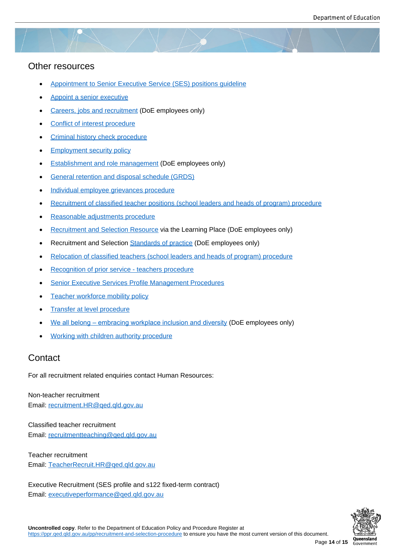### Other resources

- Appointment to Senior Executive Service (SES) positions guideline
- Appoint a senior executive
- [Careers, jobs and recruitment \(DoE employees only\)](https://www.forgov.qld.gov.au/working-in-the-public-service/directives-awards-and-legislation/search-for-directives-policies-circulars-and-guidelines/appointment-secondment-and-interchange-arrangements-senior-executive-service)
- [Conflict of interest procedu](https://www.forgov.qld.gov.au/appoint-senior-executive)re
- [Criminal history check procedu](https://intranet.qed.qld.gov.au/Services/HumanResources/payrollhr/careers)re
- **[Employment security policy](https://ppr.qed.qld.gov.au/pp/conflict-of-interest-procedure)**
- **[Establishment and role managem](https://ppr.qed.qld.gov.au/pp/criminal-history-check-procedure)ent (DoE employees only)**
- **[General retention and dispo](https://www.forgov.qld.gov.au/working-in-the-public-service/directives-awards-and-legislation/search-for-directives-policies-circulars-and-guidelines/employment-security-policy)sal schedule (GRDS)**
- **[Individual employee grievances proce](https://intranet.qed.qld.gov.au/Services/HumanResources/payrollhr/careers/workforcemanagement/Pages/establishment-and-role-management.aspx)dure**
- [Recruitment of classified teacher positions \(schoo](https://www.forgov.qld.gov.au/information-and-communication-technology/recordkeeping-and-information-management/recordkeeping/retention-disposal-and-destruction-of-records/search-for-a-retention-and-disposal-schedule/general-retention-and-disposal-schedule-grds)l leaders and heads of program) procedure
- [Reasonable adjustments procedure](https://ppr.qed.qld.gov.au/attachment/individual-employee-grievance-procedure.pdf)
- [Recruitment and Selection Resource via the Learning Place \(DoE employees only\)](https://ppr.qed.qld.gov.au/pp/recruitment-of-classified-teacher-positions-school-leaders-and-heads-of-program-procedure)
- [Recruitment and Selection Standard](https://ppr.qed.qld.gov.au/pp/reasonable-adjustments-procedure)s of practice (DoE employees only)
- [Relocation of classified teachers \(sch](https://staff.learningplace.eq.edu.au/learning/Lists/CourseCatalogue/ViewCourse.aspx?List=8fc26d05-82c1-4d5e-9ac9-7585c03ab2bf&ID=184)ool leaders and heads of program) procedure
- Recognition of prior servic[e teachers procedure](https://intranet.qed.qld.gov.au/Services/HumanResources/payrollhr/careers/corporateschoolsupportstaffrecruitmentselection/Pages/standards-practice-corporate-and-school-support-staff.aspx)
- **[Senior Executive Services Profile Management Procedures](https://ppr.qed.qld.gov.au/pp/relocation-of-classified-teachers-school-leaders-and-heads-of-program-procedure)**
- [Teacher workforce mobility policy](https://ppr.qed.qld.gov.au/pp/recognition-of-prior-service-teachers-procedure)
- [Transfer at level procedure](https://www.forgov.qld.gov.au/__data/assets/pdf_file/0025/188413/senior-executive-service-profile-management-procedures.pdf)
- [We all belong embracing workp](https://ppr.qed.qld.gov.au/pp/teacher-workforce-mobility-policy)lace inclusion and diversity (DoE employees only)
- [Working with children autho](https://ppr.qed.qld.gov.au/pp/transfer-at-level-procedure)rity procedure

# **Cont[act](https://intranet.qed.qld.gov.au/Services/HumanResources/payrollhr/workplaceculturediversity/we-all-belong)**

For all r[ecruitment related enquiries contact Huma](https://ppr.qed.qld.gov.au/pp/working-with-children-authority-procedure)n Resources:

Non-teacher recruitment Email: recruitment.HR@qed.qld.gov.au

Classified teacher recruitment Email: [recruitmentteaching@qed.qld.go](mailto:recruitment.HR@qed.qld.gov.au)v.au

Teacher recruitment Email: [TeacherRecruit.HR@qed.qld.gov.au](mailto:recruitmentteaching@qed.qld.gov.au)

Executive Recruitment (SES profile and s122 fixed-term contract) Email: [executiveperformance@qed.qld.gov.](mailto:TeacherRecruit.HR@qed.qld.gov.au)au